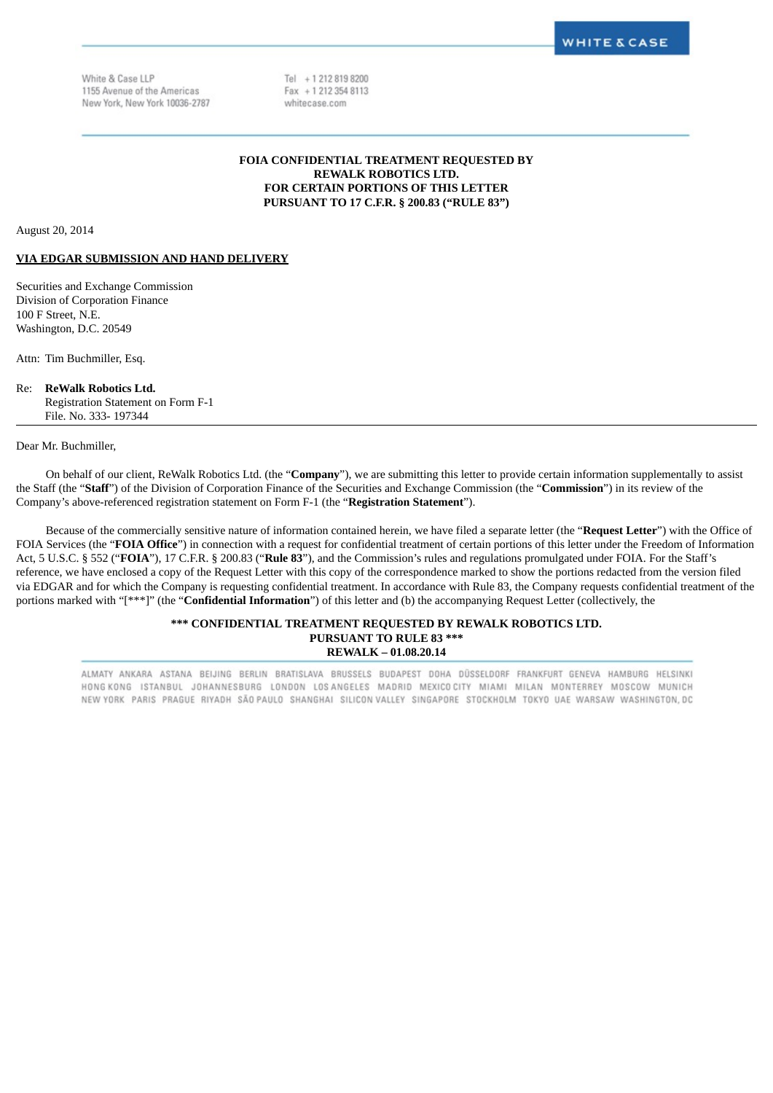White & Case LLP 1155 Avenue of the Americas New York, New York 10036-2787 Tel +12128198200 Fax + 1 212 354 8113 whitecase.com

### **FOIA CONFIDENTIAL TREATMENT REQUESTED BY REWALK ROBOTICS LTD. FOR CERTAIN PORTIONS OF THIS LETTER PURSUANT TO 17 C.F.R. § 200.83 ("RULE 83")**

August 20, 2014

#### **VIA EDGAR SUBMISSION AND HAND DELIVERY**

Securities and Exchange Commission Division of Corporation Finance 100 F Street, N.E. Washington, D.C. 20549

Attn: Tim Buchmiller, Esq.

### Re: **ReWalk Robotics Ltd.**

Registration Statement on Form F-1 File. No. 333- 197344

Dear Mr. Buchmiller,

On behalf of our client, ReWalk Robotics Ltd. (the "**Company**"), we are submitting this letter to provide certain information supplementally to assist the Staff (the "**Staff**") of the Division of Corporation Finance of the Securities and Exchange Commission (the "**Commission**") in its review of the Company's above-referenced registration statement on Form F-1 (the "**Registration Statement**").

Because of the commercially sensitive nature of information contained herein, we have filed a separate letter (the "**Request Letter**") with the Office of FOIA Services (the "**FOIA Office**") in connection with a request for confidential treatment of certain portions of this letter under the Freedom of Information Act, 5 U.S.C. § 552 ("**FOIA**"), 17 C.F.R. § 200.83 ("**Rule 83**"), and the Commission's rules and regulations promulgated under FOIA. For the Staff's reference, we have enclosed a copy of the Request Letter with this copy of the correspondence marked to show the portions redacted from the version filed via EDGAR and for which the Company is requesting confidential treatment. In accordance with Rule 83, the Company requests confidential treatment of the portions marked with "[\*\*\*]" (the "**Confidential Information**") of this letter and (b) the accompanying Request Letter (collectively, the

### **\*\*\* CONFIDENTIAL TREATMENT REQUESTED BY REWALK ROBOTICS LTD. PURSUANT TO RULE 83 \*\*\* REWALK – 01.08.20.14**

ALMATY ANKARA ASTANA BEIJING BERLIN BRATISLAVA BRUSSELS BUDAPEST DOHA DÜSSELDORF FRANKFURT GENEVA HAMBURG HELSINKI HONG KONG ISTANBUL JOHANNESBURG LONDON LOS ANGELES MADRID MEXICOCITY MIAMI MILAN MONTERREY MOSCOW MUNICH NEW YORK PARIS PRAGUE RIYADH SÃO PAULO SHANGHAI SILICON VALLEY SINGAPORE STOCKHOLM TOKYO UAE WARSAW WASHINGTON, DC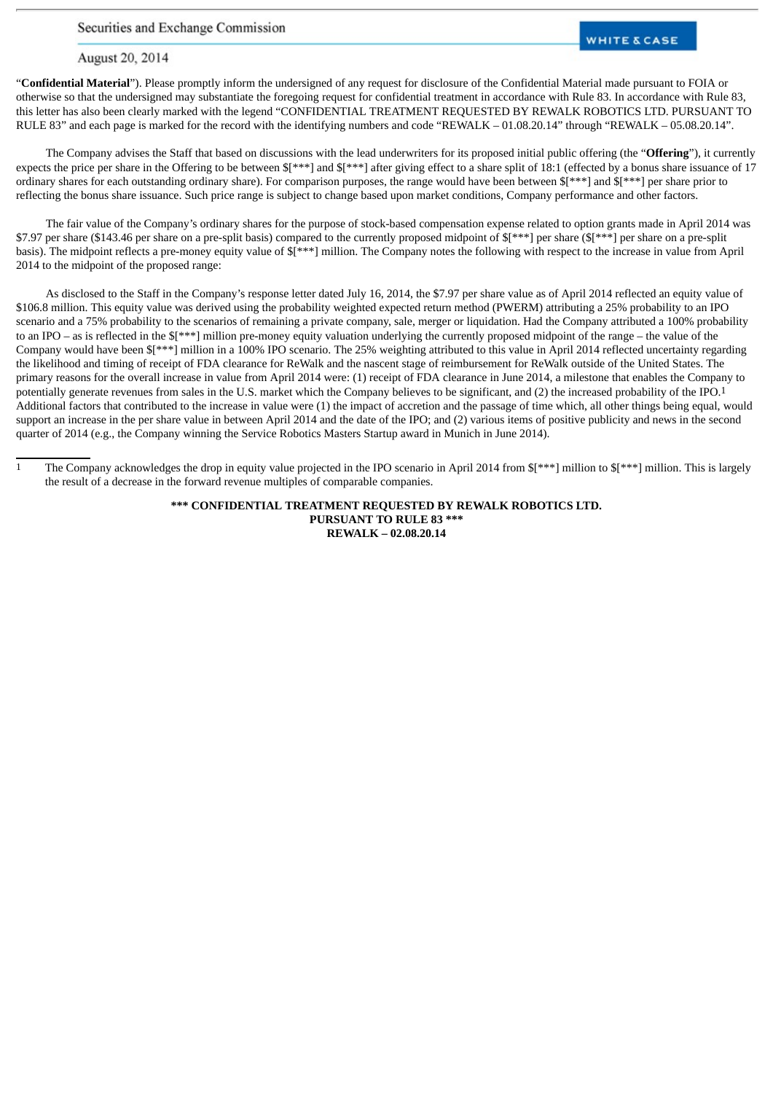Securities and Exchange Commission

## **WHITE & CASE**

August 20, 2014

"**Confidential Material**"). Please promptly inform the undersigned of any request for disclosure of the Confidential Material made pursuant to FOIA or otherwise so that the undersigned may substantiate the foregoing request for confidential treatment in accordance with Rule 83. In accordance with Rule 83, this letter has also been clearly marked with the legend "CONFIDENTIAL TREATMENT REQUESTED BY REWALK ROBOTICS LTD. PURSUANT TO RULE 83" and each page is marked for the record with the identifying numbers and code "REWALK – 01.08.20.14" through "REWALK – 05.08.20.14".

The Company advises the Staff that based on discussions with the lead underwriters for its proposed initial public offering (the "**Offering**"), it currently expects the price per share in the Offering to be between \$[\*\*\*] and \$[\*\*\*] after giving effect to a share split of 18:1 (effected by a bonus share issuance of 17 ordinary shares for each outstanding ordinary share). For comparison purposes, the range would have been between \$[\*\*\*] and \$[\*\*\*] per share prior to reflecting the bonus share issuance. Such price range is subject to change based upon market conditions, Company performance and other factors.

The fair value of the Company's ordinary shares for the purpose of stock-based compensation expense related to option grants made in April 2014 was \$7.97 per share (\$143.46 per share on a pre-split basis) compared to the currently proposed midpoint of \$[\*\*\*] per share (\$[\*\*\*] per share on a pre-split basis). The midpoint reflects a pre-money equity value of \$[\*\*\*] million. The Company notes the following with respect to the increase in value from April 2014 to the midpoint of the proposed range:

As disclosed to the Staff in the Company's response letter dated July 16, 2014, the \$7.97 per share value as of April 2014 reflected an equity value of \$106.8 million. This equity value was derived using the probability weighted expected return method (PWERM) attributing a 25% probability to an IPO scenario and a 75% probability to the scenarios of remaining a private company, sale, merger or liquidation. Had the Company attributed a 100% probability to an IPO – as is reflected in the \$[\*\*\*] million pre-money equity valuation underlying the currently proposed midpoint of the range – the value of the Company would have been \$[\*\*\*] million in a 100% IPO scenario. The 25% weighting attributed to this value in April 2014 reflected uncertainty regarding the likelihood and timing of receipt of FDA clearance for ReWalk and the nascent stage of reimbursement for ReWalk outside of the United States. The primary reasons for the overall increase in value from April 2014 were: (1) receipt of FDA clearance in June 2014, a milestone that enables the Company to potentially generate revenues from sales in the U.S. market which the Company believes to be significant, and (2) the increased probability of the IPO.1 Additional factors that contributed to the increase in value were (1) the impact of accretion and the passage of time which, all other things being equal, would support an increase in the per share value in between April 2014 and the date of the IPO; and (2) various items of positive publicity and news in the second quarter of 2014 (e.g., the Company winning the Service Robotics Masters Startup award in Munich in June 2014).

**\*\*\* CONFIDENTIAL TREATMENT REQUESTED BY REWALK ROBOTICS LTD. PURSUANT TO RULE 83 \*\*\* REWALK – 02.08.20.14**

<sup>1</sup> The Company acknowledges the drop in equity value projected in the IPO scenario in April 2014 from \$[\*\*\*] million to \$[\*\*\*] million. This is largely the result of a decrease in the forward revenue multiples of comparable companies.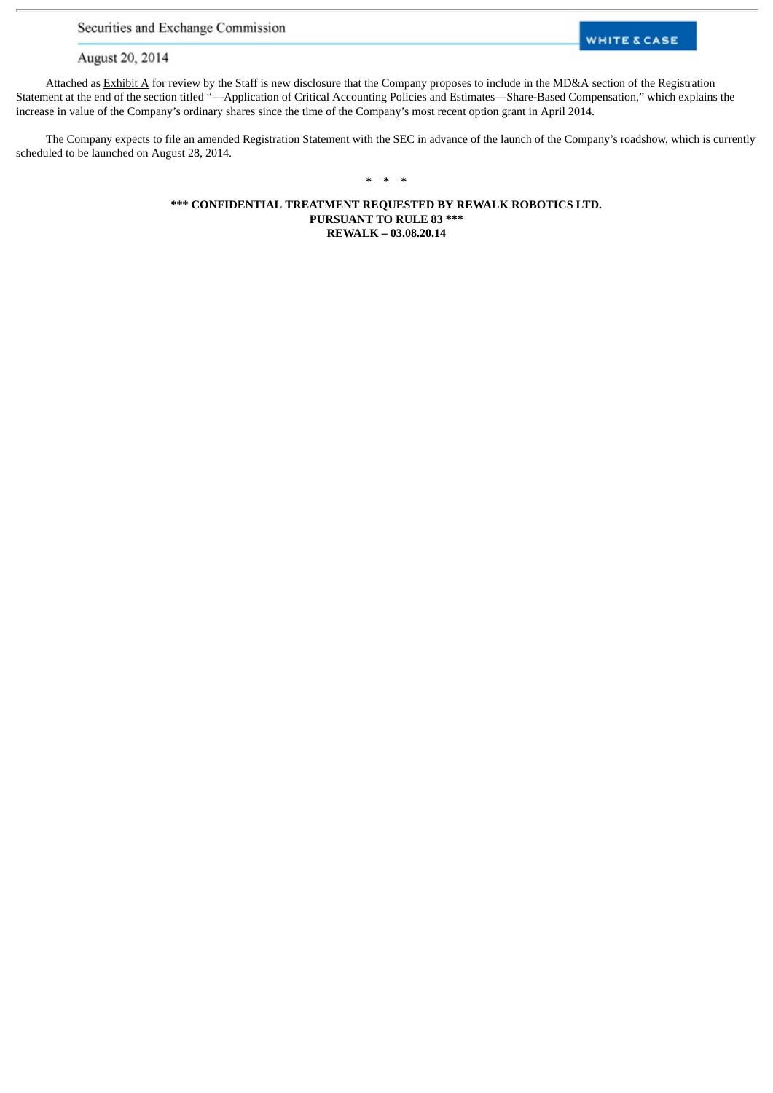Securities and Exchange Commission

# **WHITE & CASE**

August 20, 2014

Attached as Exhibit A for review by the Staff is new disclosure that the Company proposes to include in the MD&A section of the Registration Statement at the end of the section titled "—Application of Critical Accounting Policies and Estimates—Share-Based Compensation," which explains the increase in value of the Company's ordinary shares since the time of the Company's most recent option grant in April 2014.

The Company expects to file an amended Registration Statement with the SEC in advance of the launch of the Company's roadshow, which is currently scheduled to be launched on August 28, 2014.

# **\* \* \***

**\*\*\* CONFIDENTIAL TREATMENT REQUESTED BY REWALK ROBOTICS LTD. PURSUANT TO RULE 83 \*\*\* REWALK – 03.08.20.14**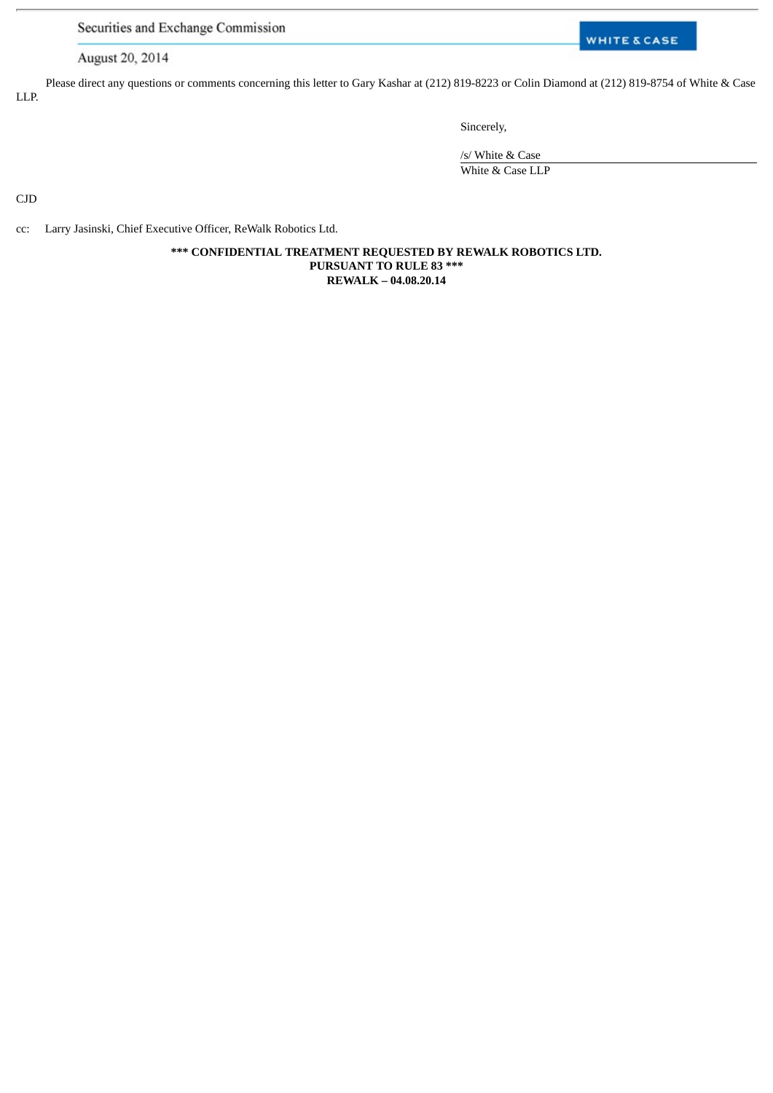Securities and Exchange Commission

# **WHITE & CASE**

August 20, 2014

Please direct any questions or comments concerning this letter to Gary Kashar at (212) 819-8223 or Colin Diamond at (212) 819-8754 of White & Case LLP.

Sincerely,

/s/ White & Case White & Case LLP

CJD

cc: Larry Jasinski, Chief Executive Officer, ReWalk Robotics Ltd.

**\*\*\* CONFIDENTIAL TREATMENT REQUESTED BY REWALK ROBOTICS LTD. PURSUANT TO RULE 83 \*\*\* REWALK – 04.08.20.14**